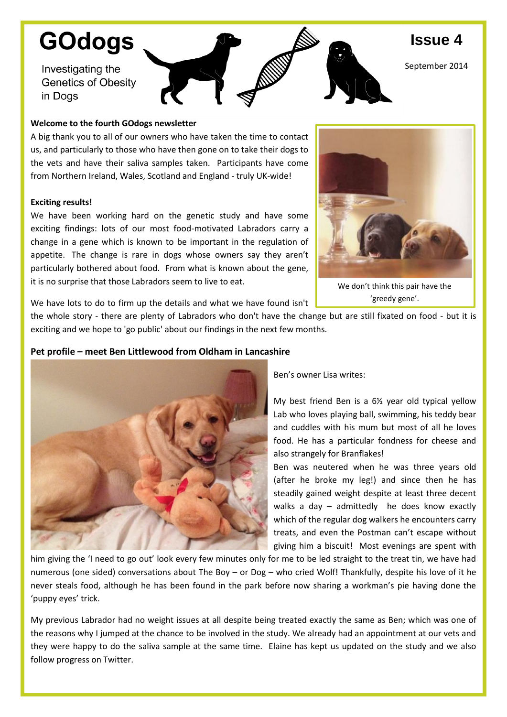# **GOdogs**

Investigating the **Genetics of Obesity** in Dogs

## **Welcome to the fourth GOdogs newsletter**

A big thank you to all of our owners who have taken the time to contact us, and particularly to those who have then gone on to take their dogs to the vets and have their saliva samples taken. Participants have come from Northern Ireland, Wales, Scotland and England - truly UK-wide!

## **Exciting results!**

We have been working hard on the genetic study and have some exciting findings: lots of our most food-motivated Labradors carry a change in a gene which is known to be important in the regulation of appetite. The change is rare in dogs whose owners say they aren't particularly bothered about food. From what is known about the gene, it is no surprise that those Labradors seem to live to eat.



**Issue 4**

September 2014

We don't think this pair have the 'greedy gene'.

We have lots to do to firm up the details and what we have found isn't

the whole story - there are plenty of Labradors who don't have the change but are still fixated on food - but it is exciting and we hope to 'go public' about our findings in the next few months.

# **Pet profile – meet Ben Littlewood from Oldham in Lancashire**



Ben's owner Lisa writes:

My best friend Ben is a 6½ year old typical yellow Lab who loves playing ball, swimming, his teddy bear and cuddles with his mum but most of all he loves food. He has a particular fondness for cheese and also strangely for Branflakes!

Ben was neutered when he was three years old (after he broke my leg!) and since then he has steadily gained weight despite at least three decent walks a day – admittedly he does know exactly which of the regular dog walkers he encounters carry treats, and even the Postman can't escape without giving him a biscuit! Most evenings are spent with

him giving the 'I need to go out' look every few minutes only for me to be led straight to the treat tin, we have had numerous (one sided) conversations about The Boy – or Dog – who cried Wolf! Thankfully, despite his love of it he never steals food, although he has been found in the park before now sharing a workman's pie having done the 'puppy eyes' trick.

My previous Labrador had no weight issues at all despite being treated exactly the same as Ben; which was one of the reasons why I jumped at the chance to be involved in the study. We already had an appointment at our vets and they were happy to do the saliva sample at the same time. Elaine has kept us updated on the study and we also follow progress on Twitter.